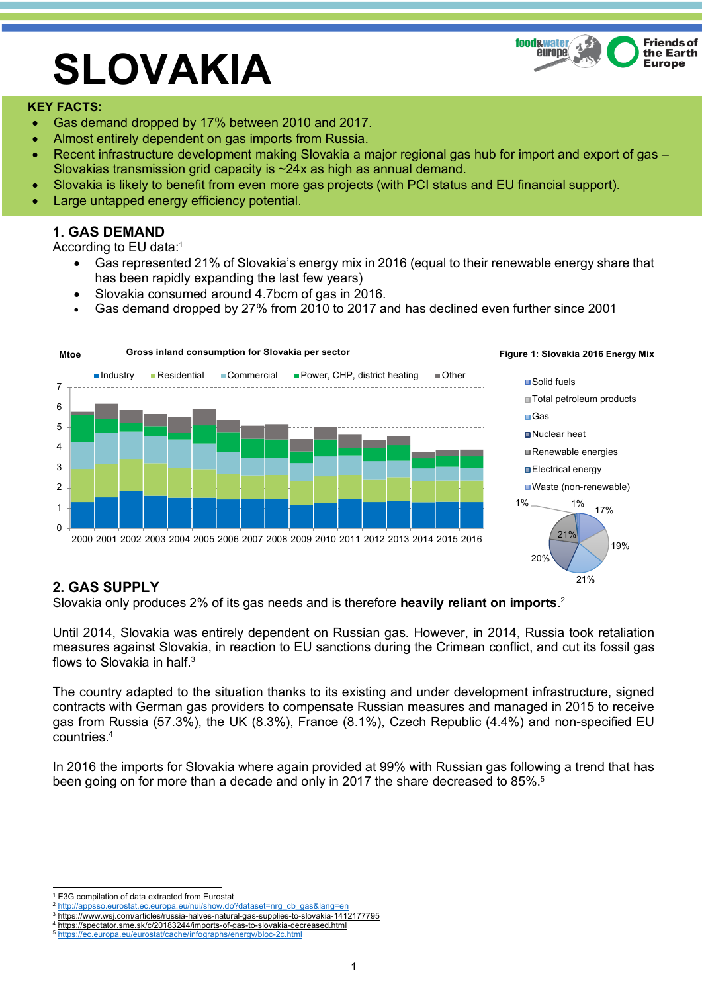

# **SLOVAKIA**

### **KEY FACTS:**

- Gas demand dropped by 17% between 2010 and 2017.
- Almost entirely dependent on gas imports from Russia.
- Recent infrastructure development making Slovakia a major regional gas hub for import and export of gas Slovakias transmission grid capacity is ~24x as high as annual demand.
- Slovakia is likely to benefit from even more gas projects (with PCI status and EU financial support).
- Large untapped energy efficiency potential.

## **1. GAS DEMAND**

According to EU data:1

- Gas represented 21% of Slovakia's energy mix in 2016 (equal to their renewable energy share that has been rapidly expanding the last few years)
- Slovakia consumed around 4.7bcm of gas in 2016.
- Gas demand dropped by 27% from 2010 to 2017 and has declined even further since 2001



## **2. GAS SUPPLY**

Slovakia only produces 2% of its gas needs and is therefore **heavily reliant on imports**. 2

Until 2014, Slovakia was entirely dependent on Russian gas. However, in 2014, Russia took retaliation measures against Slovakia, in reaction to EU sanctions during the Crimean conflict, and cut its fossil gas flows to Slovakia in half.<sup>3</sup>

The country adapted to the situation thanks to its existing and under development infrastructure, signed contracts with German gas providers to compensate Russian measures and managed in 2015 to receive gas from Russia (57.3%), the UK (8.3%), France (8.1%), Czech Republic (4.4%) and non-specified EU countries.4

In 2016 the imports for Slovakia where again provided at 99% with Russian gas following a trend that has been going on for more than a decade and only in 2017 the share decreased to 85%.<sup>5</sup>

<sup>1</sup> E3G compilation of data extracted from Eurostat<br><sup>2</sup> http://appsso.eurostat.ec.europa.eu/nui/show.do?dataset=nrg\_cb\_gas&lang=en

<sup>3</sup> https://www.wsj.com/articles/russia-halves-natural-gas-supplies-to-slovakia-1412177795

https://spectator.sme.sk/c/20183244/imports-of-gas-to-slovakia-decreased.html

<sup>5</sup> https://ec.europa.eu/eurostat/cache/infographs/energy/bloc-2c.html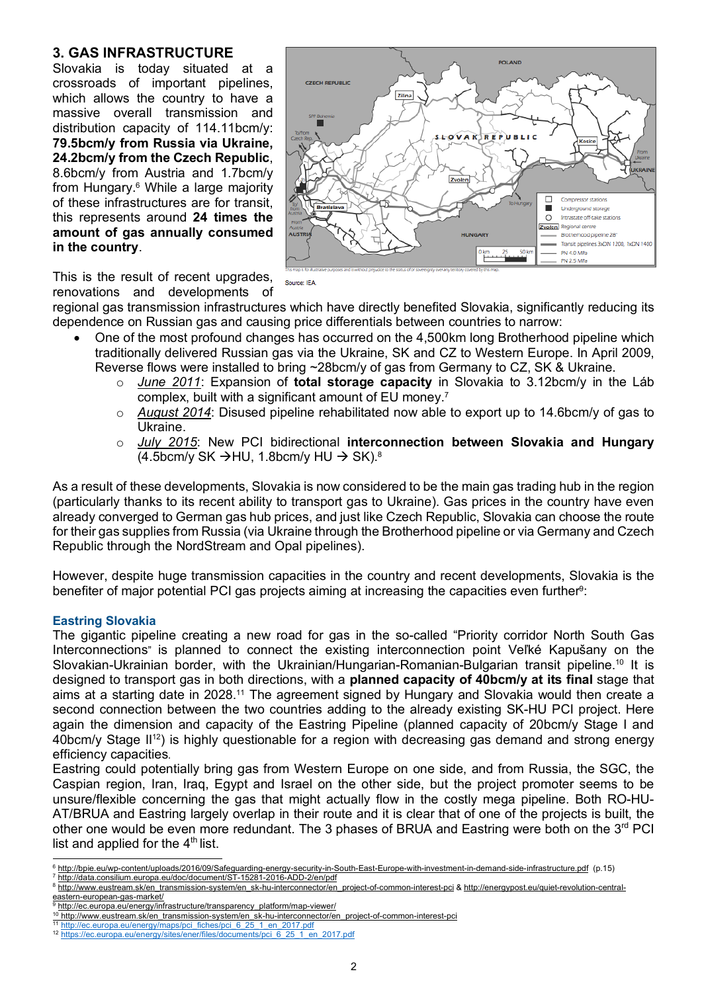## **3. GAS INFRASTRUCTURE**

Slovakia is today situated at a crossroads of important pipelines, which allows the country to have a massive overall transmission and distribution capacity of 114.11bcm/y: **79.5bcm/y from Russia via Ukraine, 24.2bcm/y from the Czech Republic**, 8.6bcm/y from Austria and 1.7bcm/y from Hungary.6 While a large majority of these infrastructures are for transit, this represents around **24 times the amount of gas annually consumed in the country**.



This is the result of recent upgrades, renovations and developments of

regional gas transmission infrastructures which have directly benefited Slovakia, significantly reducing its dependence on Russian gas and causing price differentials between countries to narrow:

Source: IEA

- One of the most profound changes has occurred on the 4,500km long Brotherhood pipeline which traditionally delivered Russian gas via the Ukraine, SK and CZ to Western Europe. In April 2009, Reverse flows were installed to bring ~28bcm/y of gas from Germany to CZ, SK & Ukraine.
	- o *June 2011*: Expansion of **total storage capacity** in Slovakia to 3.12bcm/y in the Láb complex, built with a significant amount of EU money.7
	- o *August 2014*: Disused pipeline rehabilitated now able to export up to 14.6bcm/y of gas to Ukraine.
	- o *July 2015*: New PCI bidirectional **interconnection between Slovakia and Hungary**  $(4.5$ bcm/v SK  $\rightarrow$ HU, 1.8bcm/v HU  $\rightarrow$  SK).<sup>8</sup>

As a result of these developments, Slovakia is now considered to be the main gas trading hub in the region (particularly thanks to its recent ability to transport gas to Ukraine). Gas prices in the country have even already converged to German gas hub prices, and just like Czech Republic, Slovakia can choose the route for their gas supplies from Russia (via Ukraine through the Brotherhood pipeline or via Germany and Czech Republic through the NordStream and Opal pipelines).

However, despite huge transmission capacities in the country and recent developments, Slovakia is the benefiter of major potential PCI gas projects aiming at increasing the capacities even further<sup>9</sup>:

#### **Eastring Slovakia**

The gigantic pipeline creating a new road for gas in the so-called "Priority corridor North South Gas Interconnections" is planned to connect the existing interconnection point Veľké Kapušany on the Slovakian-Ukrainian border, with the Ukrainian/Hungarian-Romanian-Bulgarian transit pipeline.<sup>10</sup> It is designed to transport gas in both directions, with a **planned capacity of 40bcm/y at its final** stage that aims at a starting date in 2028. <sup>11</sup> The agreement signed by Hungary and Slovakia would then create a second connection between the two countries adding to the already existing SK-HU PCI project. Here again the dimension and capacity of the Eastring Pipeline (planned capacity of 20bcm/y Stage I and 40bcm/y Stage II<sup>12</sup>) is highly questionable for a region with decreasing gas demand and strong energy efficiency capacities.

Eastring could potentially bring gas from Western Europe on one side, and from Russia, the SGC, the Caspian region, Iran, Iraq, Egypt and Israel on the other side, but the project promoter seems to be unsure/flexible concerning the gas that might actually flow in the costly mega pipeline. Both RO-HU-AT/BRUA and Eastring largely overlap in their route and it is clear that of one of the projects is built, the other one would be even more redundant. The 3 phases of BRUA and Eastring were both on the 3<sup>rd</sup> PCI list and applied for the 4<sup>th</sup> list.<br>
<del>6 http://bpie.eu/wp-content/uploads/2016/09/Safeguarding-energy-security-in-South-East-Europe-with-investment-in-demand-side-infrastructure.pdf (p.15)</del>

eastern-european-gas-market/ http://ec.europa.eu/energy/infrastructure/transparency\_platform/map-viewer/

<sup>7</sup> http://data.consilium.europa.eu/doc/document/ST-15281-2016-ADD-2/en/pdf

<sup>&</sup>lt;sup>8</sup> http://www.eustream.sk/en\_transmission-system/en\_sk-hu-interconnector/en\_project-of-common-interest-pci & http://energypost.eu/quiet-revolution-central-

<sup>&</sup>lt;sup>10</sup> http://www.eustream.sk/en\_transmission-system/en\_sk-hu-interconnector/en\_project-of-common-interest-pci

http://ec.europa.eu/energy/maps/pci\_fiches/pci\_6\_25\_1\_en\_2017.pdf

<sup>12</sup> https://ec.europa.eu/energy/sites/ener/files/documents/pci\_6\_25\_1\_en\_2017.pdf